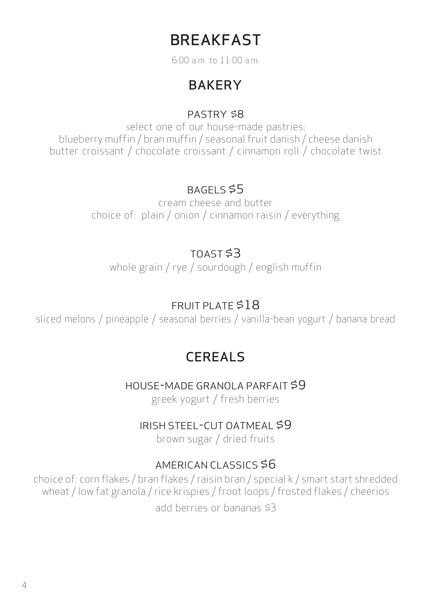# BREAKFAST

6:00 a.m. to 11:00 a.m.

## **BAKERY**

#### PASTRY \$8

select one of our house-made pastries: blueberry muffin / bran muffin / seasonal fruit danish / cheese danish butter croissant / chocolate croissant / cinnamon roll / chocolate twist

### BAGELS \$5

cream cheese and butter choice of: plain / onion / cinnamon raisin / everything

## TOAST \$3

whole grain / rye / sourdough / english muffin

### FRUIT PLATE \$18

sliced melons / pineapple / seasonal berries / vanilla-bean yogurt / banana bread

## **CEREALS**

#### HOUSE-MADE GRANOLA PARFAIT \$9

greek yogurt / fresh berries

#### IRISH STEEL-CUT OATMEAL \$9

brown sugar / dried fruits

#### AMERICAN CLASSICS \$6

choice of: corn flakes / bran flakes / raisin bran / special k / smart start shredded wheat / low fat granola / rice krispies / froot loops / frosted flakes / cheerios add berries or bananas \$3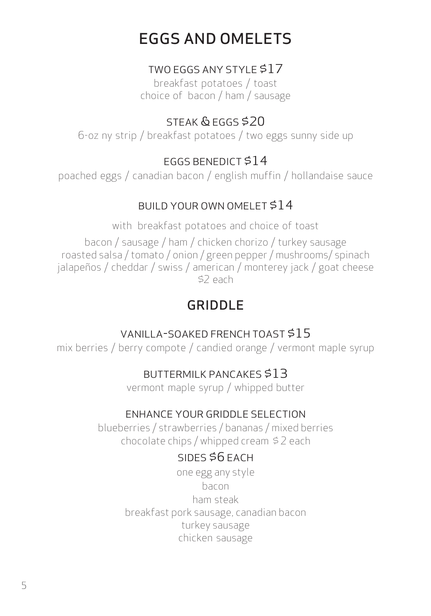# EGGS AND OMELETS

### TWO EGGS ANY STYLE \$17

breakfast potatoes / toast choice of bacon / ham / sausage

## STEAK & EGGS \$20

6-oz ny strip / breakfast potatoes / two eggs sunny side up

## EGGS BENEDICT \$14

poached eggs / canadian bacon / english muffin / hollandaise sauce

## BUILD YOUR OWN OMELET \$14

with breakfast potatoes and choice of toast

bacon / sausage / ham / chicken chorizo / turkey sausage roasted salsa / tomato / onion / green pepper / mushrooms/ spinach jalapeños / cheddar / swiss / american / monterey jack / goat cheese \$2 each

# GRIDDLE

## VANILLA-SOAKED FRENCH TOAST \$15

mix berries / berry compote / candied orange / vermont maple syrup

## BUTTERMILK PANCAKES \$13

vermont maple syrup / whipped butter

## ENHANCE YOUR GRIDDLE SELECTION

blueberries / strawberries / bananas / mixed berries chocolate chips / whipped cream \$ 2 each

## SIDES \$6 EACH

one egg any style bacon ham steak breakfast pork sausage, canadian bacon turkey sausage chicken sausage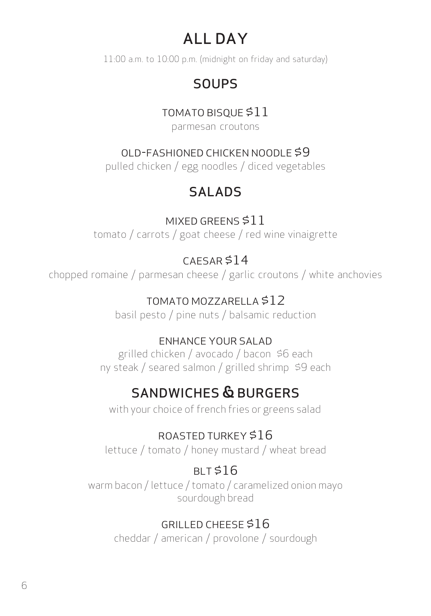# ALL DAY

11:00 a.m. to 10:00 p.m. (midnight on friday and saturday)

# **SOUPS**

## TOMATO BISQUE \$11

parmesan croutons

## OLD-FASHIONED CHICKEN NOODLE \$9

pulled chicken / egg noodles / diced vegetables

# SALADS

### MIXED GREENS \$11 tomato / carrots / goat cheese / red wine vinaigrette

# $CAESAR $14$

chopped romaine / parmesan cheese / garlic croutons / white anchovies

## TOMATO MOZZARELLA \$12

basil pesto / pine nuts / balsamic reduction

## ENHANCE YOUR SALAD

grilled chicken / avocado / bacon \$6 each ny steak / seared salmon / grilled shrimp \$9 each

# SANDWICHES & BURGERS

with your choice of french fries or greens salad

## ROASTED TURKEY \$16

lettuce / tomato / honey mustard / wheat bread

## $BI T $16$

warm bacon / lettuce / tomato / caramelized onion mayo sourdough bread

## GRILLED CHEESE \$16

cheddar / american / provolone / sourdough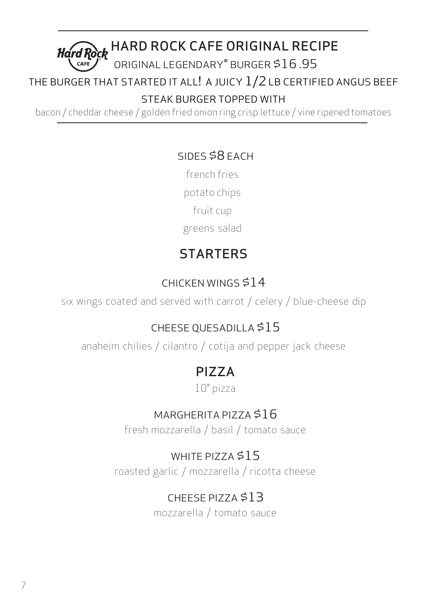

### THE BURGER THAT STARTED IT ALL! A JUICY  $1/2$  LB CERTIFIED ANGUS BEEF

STEAK BURGER TOPPED WITH

bacon / cheddar cheese / golden fried onion ring crisp lettuce / vine ripened tomatoes

## SIDES \$8 EACH

french fries potato chips fruit cup

greens salad

# **STARTERS**

## CHICKEN WINGS \$14

six wings coated and served with carrot / celery / blue-cheese dip

## CHEESE QUESADILLA \$15

anaheim chilies / cilantro / cotija and pepper jack cheese

# PIZZA

10" pizza

## MARGHERITA PIZZA \$16

fresh mozzarella / basil / tomato sauce

## WHITE PIZZA \$15

roasted garlic / mozzarella / ricotta cheese

# CHEESE PIZZA \$13

mozzarella / tomato sauce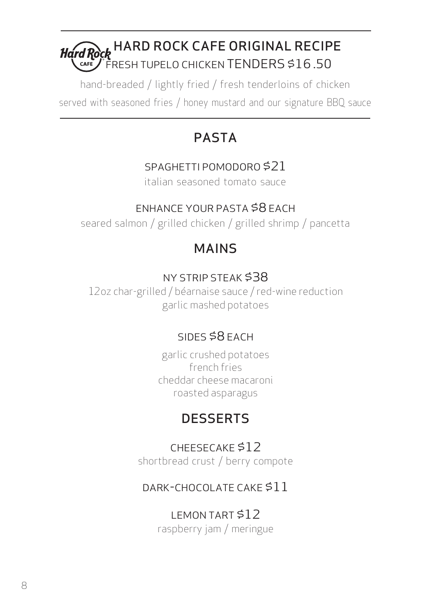#### Hard Rock HARD ROCK CAFE ORIGINAL RECIPE  $r$  FRESH TUPELO CHICKEN TENDERS \$16.50  $CAFE$

hand-breaded / lightly fried / fresh tenderloins of chicken served with seasoned fries / honey mustard and our signature BBQ sauce

# PASTA

## SPAGHETTI POMODORO \$21

italian seasoned tomato sauce

## ENHANCE YOUR PASTA \$8 EACH

seared salmon / grilled chicken / grilled shrimp / pancetta

# MAINS

## NY STRIP STEAK \$38

12oz char-grilled / béarnaise sauce / red-wine reduction garlic mashed potatoes

## SIDES \$8 EACH

garlic crushed potatoes french fries cheddar cheese macaroni roasted asparagus

# **DESSERTS**

## CHEESECAKE \$12

shortbread crust / berry compote

## DARK-CHOCOLATE CAKE \$11

# LEMON TART \$12

raspberry jam / meringue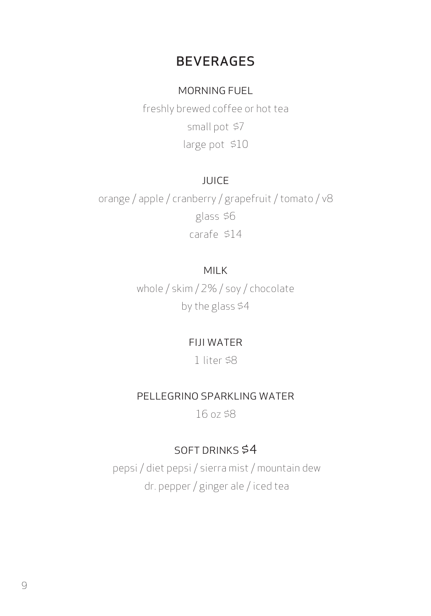## BEVERAGES

#### MORNING FUEL

freshly brewed coffee or hot tea small pot \$7 large pot \$10

#### JUICE

orange / apple / cranberry / grapefruit / tomato / v8 glass \$6 carafe \$14

#### MILK

whole / skim / 2% / soy / chocolate by the glass \$4

#### FIJI WATER

1 liter \$8

#### PELLEGRINO SPARKLING WATER

16 oz \$8

#### SOFT DRINKS \$4

pepsi / diet pepsi / sierra mist / mountain dew dr. pepper / ginger ale / iced tea